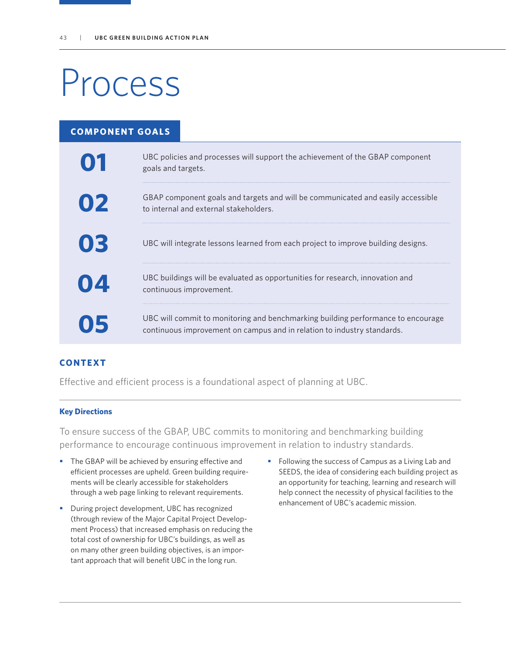# Process

| <b>COMPONENT GOALS</b> |                                                                                                                                                             |
|------------------------|-------------------------------------------------------------------------------------------------------------------------------------------------------------|
| 01                     | UBC policies and processes will support the achievement of the GBAP component<br>goals and targets.                                                         |
| 02                     | GBAP component goals and targets and will be communicated and easily accessible<br>to internal and external stakeholders.                                   |
| 03                     | UBC will integrate lessons learned from each project to improve building designs.                                                                           |
|                        | UBC buildings will be evaluated as opportunities for research, innovation and<br>continuous improvement.                                                    |
|                        | UBC will commit to monitoring and benchmarking building performance to encourage<br>continuous improvement on campus and in relation to industry standards. |

## **CONTEXT**

Effective and efficient process is a foundational aspect of planning at UBC.

#### **Key Directions**

To ensure success of the GBAP, UBC commits to monitoring and benchmarking building performance to encourage continuous improvement in relation to industry standards.

- The GBAP will be achieved by ensuring effective and efficient processes are upheld. Green building requirements will be clearly accessible for stakeholders through a web page linking to relevant requirements.
- **•** During project development, UBC has recognized (through review of the Major Capital Project Development Process) that increased emphasis on reducing the total cost of ownership for UBC's buildings, as well as on many other green building objectives, is an important approach that will benefit UBC in the long run.
- Following the success of Campus as a Living Lab and SEEDS, the idea of considering each building project as an opportunity for teaching, learning and research will help connect the necessity of physical facilities to the enhancement of UBC's academic mission.